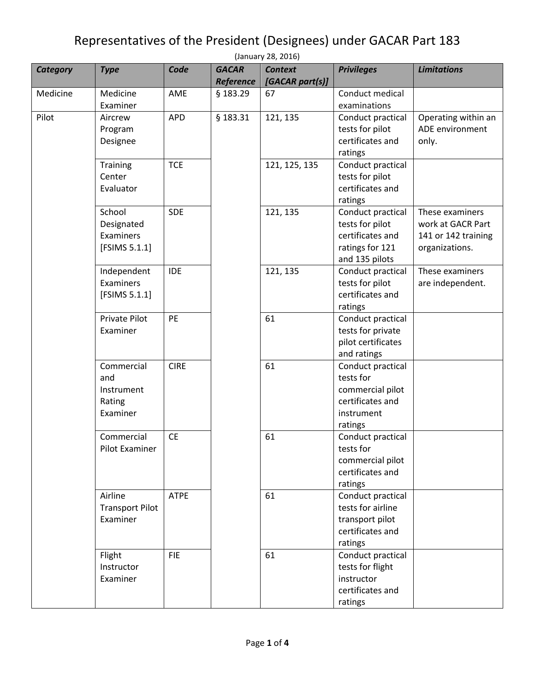## Representatives of the President (Designees) under GACAR Part 183

| (January 28, 2016) |                        |             |                           |                                   |                                |                     |  |  |
|--------------------|------------------------|-------------|---------------------------|-----------------------------------|--------------------------------|---------------------|--|--|
| <b>Category</b>    | <b>Type</b>            | Code        | <b>GACAR</b><br>Reference | <b>Context</b><br>[GACAR part(s)] | <b>Privileges</b>              | <b>Limitations</b>  |  |  |
| Medicine           | Medicine               | AME         | § 183.29                  | 67                                | Conduct medical                |                     |  |  |
|                    | Examiner               |             |                           |                                   | examinations                   |                     |  |  |
| Pilot              | Aircrew                | <b>APD</b>  | § 183.31                  | 121, 135                          | Conduct practical              | Operating within an |  |  |
|                    | Program                |             |                           |                                   | tests for pilot                | ADE environment     |  |  |
|                    | Designee               |             |                           |                                   | certificates and               | only.               |  |  |
|                    |                        |             |                           |                                   | ratings                        |                     |  |  |
|                    | <b>Training</b>        | <b>TCE</b>  |                           | 121, 125, 135                     | Conduct practical              |                     |  |  |
|                    | Center                 |             |                           |                                   | tests for pilot                |                     |  |  |
|                    | Evaluator              |             |                           |                                   | certificates and               |                     |  |  |
|                    |                        |             |                           |                                   | ratings                        |                     |  |  |
|                    | School                 | <b>SDE</b>  |                           | 121, 135                          | Conduct practical              | These examiners     |  |  |
|                    | Designated             |             |                           |                                   | tests for pilot                | work at GACR Part   |  |  |
|                    | Examiners              |             |                           |                                   | certificates and               | 141 or 142 training |  |  |
|                    | [FSIMS 5.1.1]          |             |                           |                                   | ratings for 121                | organizations.      |  |  |
|                    |                        |             |                           |                                   | and 135 pilots                 |                     |  |  |
|                    | Independent            | <b>IDE</b>  |                           | 121, 135                          | Conduct practical              | These examiners     |  |  |
|                    | Examiners              |             |                           |                                   | tests for pilot                | are independent.    |  |  |
|                    | [FSIMS 5.1.1]          |             |                           |                                   | certificates and               |                     |  |  |
|                    |                        |             |                           |                                   | ratings                        |                     |  |  |
|                    | <b>Private Pilot</b>   | <b>PE</b>   |                           | 61                                | Conduct practical              |                     |  |  |
|                    | Examiner               |             |                           |                                   | tests for private              |                     |  |  |
|                    |                        |             |                           |                                   | pilot certificates             |                     |  |  |
|                    | Commercial             | <b>CIRE</b> |                           | 61                                | and ratings                    |                     |  |  |
|                    | and                    |             |                           |                                   | Conduct practical<br>tests for |                     |  |  |
|                    | Instrument             |             |                           |                                   | commercial pilot               |                     |  |  |
|                    | Rating                 |             |                           |                                   | certificates and               |                     |  |  |
|                    | Examiner               |             |                           |                                   | instrument                     |                     |  |  |
|                    |                        |             |                           |                                   | ratings                        |                     |  |  |
|                    | Commercial             | <b>CE</b>   |                           | 61                                | Conduct practical              |                     |  |  |
|                    | Pilot Examiner         |             |                           |                                   | tests for                      |                     |  |  |
|                    |                        |             |                           |                                   | commercial pilot               |                     |  |  |
|                    |                        |             |                           |                                   | certificates and               |                     |  |  |
|                    |                        |             |                           |                                   | ratings                        |                     |  |  |
|                    | Airline                | <b>ATPE</b> |                           | 61                                | Conduct practical              |                     |  |  |
|                    | <b>Transport Pilot</b> |             |                           |                                   | tests for airline              |                     |  |  |
|                    | Examiner               |             |                           |                                   | transport pilot                |                     |  |  |
|                    |                        |             |                           |                                   | certificates and               |                     |  |  |
|                    |                        |             |                           |                                   | ratings                        |                     |  |  |
|                    | Flight                 | <b>FIE</b>  |                           | 61                                | Conduct practical              |                     |  |  |
|                    | Instructor             |             |                           |                                   | tests for flight               |                     |  |  |
|                    | Examiner               |             |                           |                                   | instructor                     |                     |  |  |
|                    |                        |             |                           |                                   | certificates and               |                     |  |  |
|                    |                        |             |                           |                                   | ratings                        |                     |  |  |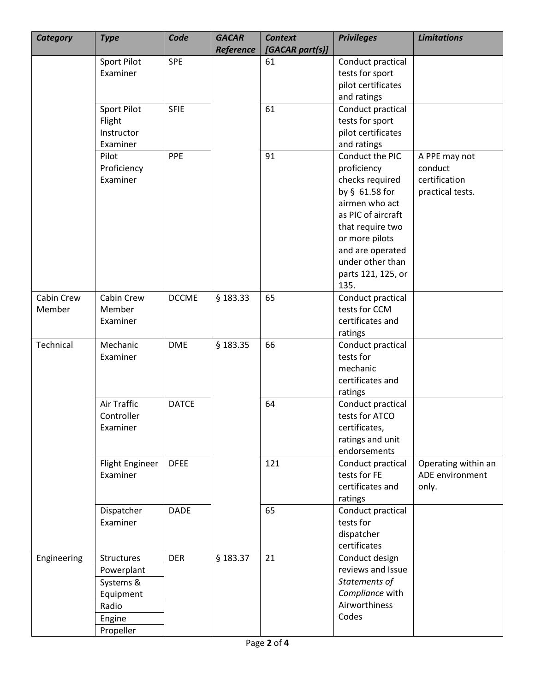| Category             | <b>Type</b>                                                                        | Code         | <b>GACAR</b><br><b>Reference</b> | <b>Context</b><br>[GACAR part(s)] | <b>Privileges</b>                                                                                                                                                                                                       | <b>Limitations</b>                                            |
|----------------------|------------------------------------------------------------------------------------|--------------|----------------------------------|-----------------------------------|-------------------------------------------------------------------------------------------------------------------------------------------------------------------------------------------------------------------------|---------------------------------------------------------------|
|                      | <b>Sport Pilot</b><br>Examiner                                                     | <b>SPE</b>   |                                  | 61                                | Conduct practical<br>tests for sport<br>pilot certificates<br>and ratings                                                                                                                                               |                                                               |
|                      | <b>Sport Pilot</b><br>Flight<br>Instructor<br>Examiner                             | <b>SFIE</b>  |                                  | 61                                | Conduct practical<br>tests for sport<br>pilot certificates<br>and ratings                                                                                                                                               |                                                               |
|                      | Pilot<br>Proficiency<br>Examiner                                                   | PPE          |                                  | 91                                | Conduct the PIC<br>proficiency<br>checks required<br>by § 61.58 for<br>airmen who act<br>as PIC of aircraft<br>that require two<br>or more pilots<br>and are operated<br>under other than<br>parts 121, 125, or<br>135. | A PPE may not<br>conduct<br>certification<br>practical tests. |
| Cabin Crew<br>Member | Cabin Crew<br>Member<br>Examiner                                                   | <b>DCCME</b> | § 183.33                         | 65                                | Conduct practical<br>tests for CCM<br>certificates and<br>ratings                                                                                                                                                       |                                                               |
| Technical            | Mechanic<br>Examiner                                                               | <b>DME</b>   | § 183.35                         | 66                                | Conduct practical<br>tests for<br>mechanic<br>certificates and<br>ratings                                                                                                                                               |                                                               |
|                      | <b>Air Traffic</b><br>Controller<br>Examiner                                       | <b>DATCE</b> |                                  | 64                                | Conduct practical<br>tests for ATCO<br>certificates,<br>ratings and unit<br>endorsements                                                                                                                                |                                                               |
|                      | <b>Flight Engineer</b><br>Examiner                                                 | <b>DFEE</b>  |                                  | 121                               | Conduct practical<br>tests for FE<br>certificates and<br>ratings                                                                                                                                                        | Operating within an<br>ADE environment<br>only.               |
|                      | Dispatcher<br>Examiner                                                             | <b>DADE</b>  |                                  | 65                                | Conduct practical<br>tests for<br>dispatcher<br>certificates                                                                                                                                                            |                                                               |
| Engineering          | Structures<br>Powerplant<br>Systems &<br>Equipment<br>Radio<br>Engine<br>Propeller | <b>DER</b>   | § 183.37                         | 21                                | Conduct design<br>reviews and Issue<br>Statements of<br>Compliance with<br>Airworthiness<br>Codes                                                                                                                       |                                                               |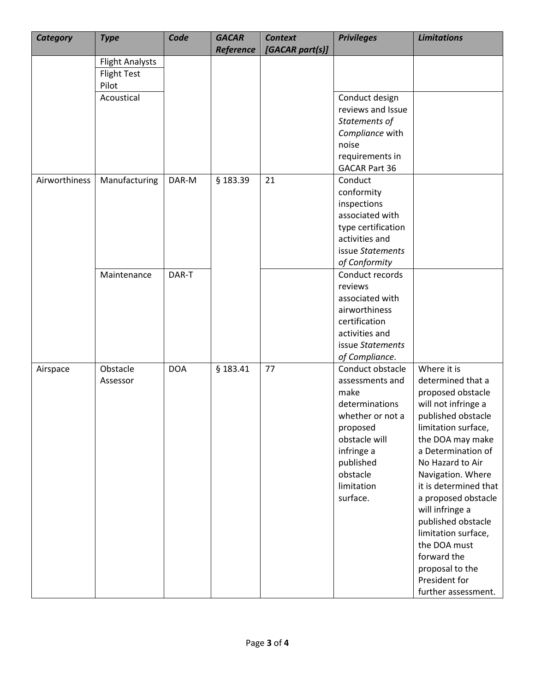| <b>Category</b> | <b>Type</b>                                           | Code       | <b>GACAR</b><br>Reference | <b>Context</b><br>[GACAR part(s)] | <b>Privileges</b>                                                                                                                                                               | <b>Limitations</b>                                                                                                                                                                                                                                                                                                                                                                                                     |
|-----------------|-------------------------------------------------------|------------|---------------------------|-----------------------------------|---------------------------------------------------------------------------------------------------------------------------------------------------------------------------------|------------------------------------------------------------------------------------------------------------------------------------------------------------------------------------------------------------------------------------------------------------------------------------------------------------------------------------------------------------------------------------------------------------------------|
|                 | <b>Flight Analysts</b><br><b>Flight Test</b><br>Pilot |            |                           |                                   |                                                                                                                                                                                 |                                                                                                                                                                                                                                                                                                                                                                                                                        |
|                 | Acoustical                                            |            |                           |                                   | Conduct design<br>reviews and Issue<br>Statements of<br>Compliance with<br>noise<br>requirements in<br><b>GACAR Part 36</b>                                                     |                                                                                                                                                                                                                                                                                                                                                                                                                        |
| Airworthiness   | Manufacturing                                         | DAR-M      | § 183.39                  | 21                                | Conduct<br>conformity<br>inspections<br>associated with<br>type certification<br>activities and<br>issue Statements<br>of Conformity                                            |                                                                                                                                                                                                                                                                                                                                                                                                                        |
|                 | Maintenance                                           | DAR-T      |                           |                                   | Conduct records<br>reviews<br>associated with<br>airworthiness<br>certification<br>activities and<br>issue Statements<br>of Compliance.                                         |                                                                                                                                                                                                                                                                                                                                                                                                                        |
| Airspace        | Obstacle<br>Assessor                                  | <b>DOA</b> | § 183.41                  | 77                                | Conduct obstacle<br>assessments and<br>make<br>determinations<br>whether or not a<br>proposed<br>obstacle will<br>infringe a<br>published<br>obstacle<br>limitation<br>surface. | Where it is<br>determined that a<br>proposed obstacle<br>will not infringe a<br>published obstacle<br>limitation surface,<br>the DOA may make<br>a Determination of<br>No Hazard to Air<br>Navigation. Where<br>it is determined that<br>a proposed obstacle<br>will infringe a<br>published obstacle<br>limitation surface,<br>the DOA must<br>forward the<br>proposal to the<br>President for<br>further assessment. |